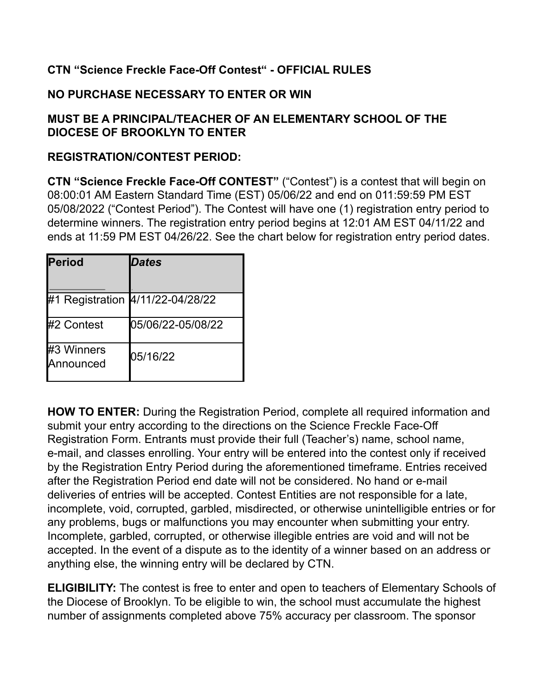## **CTN "Science Freckle Face-Off Contest" - OFFICIAL RULES**

## **NO PURCHASE NECESSARY TO ENTER OR WIN**

## **MUST BE A PRINCIPAL/TEACHER OF AN ELEMENTARY SCHOOL OF THE DIOCESE OF BROOKLYN TO ENTER**

## **REGISTRATION/CONTEST PERIOD:**

**CTN "Science Freckle Face-Off CONTEST"** ("Contest") is a contest that will begin on 08:00:01 AM Eastern Standard Time (EST) 05/06/22 and end on 011:59:59 PM EST 05/08/2022 ("Contest Period"). The Contest will have one (1) registration entry period to determine winners. The registration entry period begins at 12:01 AM EST 04/11/22 and ends at 11:59 PM EST 04/26/22. See the chart below for registration entry period dates.

| <b>Period</b>           | <b>Dates</b>                     |
|-------------------------|----------------------------------|
|                         | #1 Registration 4/11/22-04/28/22 |
| #2 Contest              | 05/06/22-05/08/22                |
| #3 Winners<br>Announced | 05/16/22                         |

**HOW TO ENTER:** During the Registration Period, complete all required information and submit your entry according to the directions on the Science Freckle Face-Off Registration Form. Entrants must provide their full (Teacher's) name, school name, e-mail, and classes enrolling. Your entry will be entered into the contest only if received by the Registration Entry Period during the aforementioned timeframe. Entries received after the Registration Period end date will not be considered. No hand or e-mail deliveries of entries will be accepted. Contest Entities are not responsible for a late, incomplete, void, corrupted, garbled, misdirected, or otherwise unintelligible entries or for any problems, bugs or malfunctions you may encounter when submitting your entry. Incomplete, garbled, corrupted, or otherwise illegible entries are void and will not be accepted. In the event of a dispute as to the identity of a winner based on an address or anything else, the winning entry will be declared by CTN.

**ELIGIBILITY:** The contest is free to enter and open to teachers of Elementary Schools of the Diocese of Brooklyn. To be eligible to win, the school must accumulate the highest number of assignments completed above 75% accuracy per classroom. The sponsor